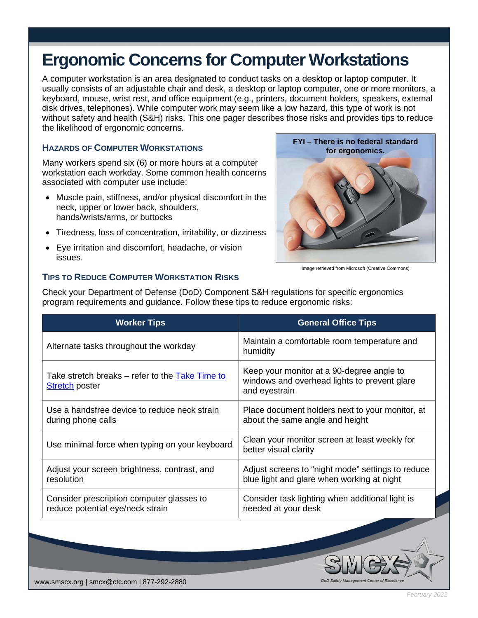# **Ergonomic Concerns for Computer Workstations**

A computer workstation is an area designated to conduct tasks on a desktop or laptop computer. It usually consists of an adjustable chair and desk, a desktop or laptop computer, one or more monitors, a keyboard, mouse, wrist rest, and office equipment (e.g., printers, document holders, speakers, external disk drives, telephones). While computer work may seem like a low hazard, this type of work is not without safety and health (S&H) risks. This one pager describes those risks and provides tips to reduce the likelihood of ergonomic concerns.

## **HAZARDS OF COMPUTER WORKSTATIONS**

Many workers spend six (6) or more hours at a computer workstation each workday. Some common health concerns associated with computer use include:

- Muscle pain, stiffness, and/or physical discomfort in the neck, upper or lower back, shoulders, hands/wrists/arms, or buttocks
- Tiredness, loss of concentration, irritability, or dizziness
- Eye irritation and discomfort, headache, or vision issues.



Image retrieved from Microsoft (Creative Commons)

DoD Safety M

# **TIPS TO REDUCE COMPUTER WORKSTATION RISKS**

| <b>Worker Tips</b>                                                            | <b>General Office Tips</b>                                                                                 |
|-------------------------------------------------------------------------------|------------------------------------------------------------------------------------------------------------|
| Alternate tasks throughout the workday                                        | Maintain a comfortable room temperature and<br>humidity                                                    |
| Take stretch breaks – refer to the Take Time to<br><b>Stretch poster</b>      | Keep your monitor at a 90-degree angle to<br>windows and overhead lights to prevent glare<br>and eyestrain |
| Use a handsfree device to reduce neck strain<br>during phone calls            | Place document holders next to your monitor, at<br>about the same angle and height                         |
| Use minimal force when typing on your keyboard                                | Clean your monitor screen at least weekly for<br>better visual clarity                                     |
| Adjust your screen brightness, contrast, and<br>resolution                    | Adjust screens to "night mode" settings to reduce<br>blue light and glare when working at night            |
| Consider prescription computer glasses to<br>reduce potential eye/neck strain | Consider task lighting when additional light is<br>needed at your desk                                     |

Check your Department of Defense (DoD) Component S&H regulations for specific ergonomics program requirements and guidance. Follow these tips to reduce ergonomic risks: